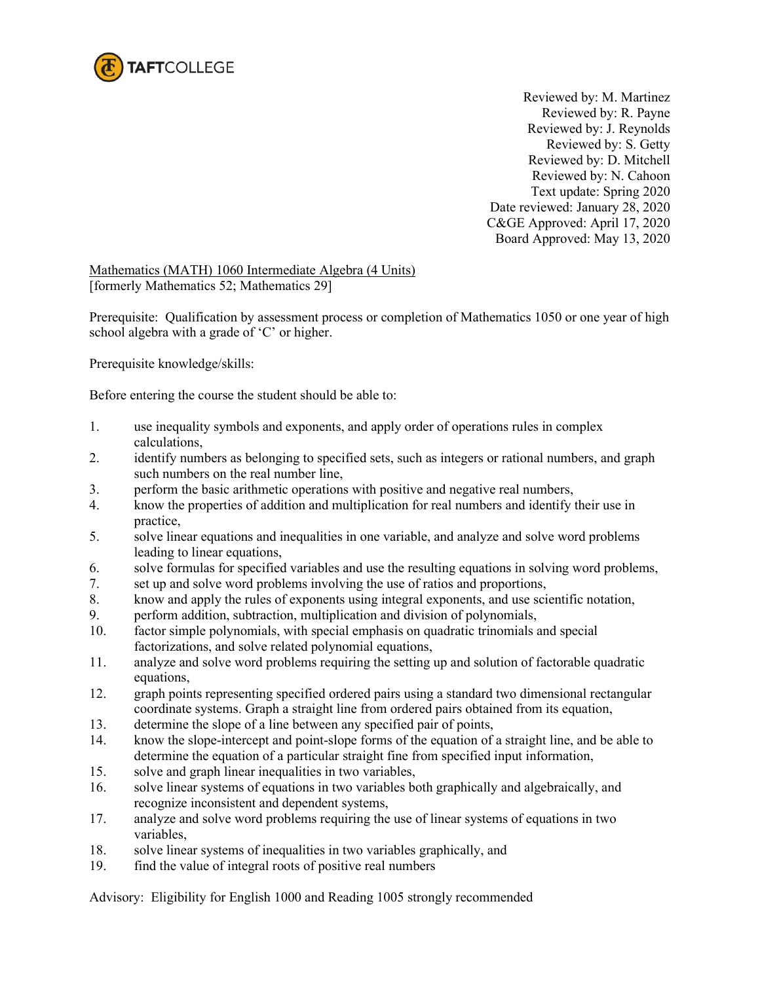

 Reviewed by: M. Martinez Reviewed by: R. Payne Reviewed by: J. Reynolds Reviewed by: S. Getty Reviewed by: D. Mitchell Reviewed by: N. Cahoon Text update: Spring 2020 Date reviewed: January 28, 2020 C&GE Approved: April 17, 2020 Board Approved: May 13, 2020

Mathematics (MATH) 1060 Intermediate Algebra (4 Units) [formerly Mathematics 52; Mathematics 29]

Prerequisite: Qualification by assessment process or completion of Mathematics 1050 or one year of high school algebra with a grade of 'C' or higher.

Prerequisite knowledge/skills:

Before entering the course the student should be able to:

- 1. use inequality symbols and exponents, and apply order of operations rules in complex calculations,
- 2. identify numbers as belonging to specified sets, such as integers or rational numbers, and graph such numbers on the real number line,
- 3. perform the basic arithmetic operations with positive and negative real numbers,
- 4. know the properties of addition and multiplication for real numbers and identify their use in practice,
- 5. solve linear equations and inequalities in one variable, and analyze and solve word problems leading to linear equations,
- 6. solve formulas for specified variables and use the resulting equations in solving word problems,
- 7. set up and solve word problems involving the use of ratios and proportions,
- 8. know and apply the rules of exponents using integral exponents, and use scientific notation,
- 9. perform addition, subtraction, multiplication and division of polynomials,
- 10. factor simple polynomials, with special emphasis on quadratic trinomials and special factorizations, and solve related polynomial equations,
- 11. analyze and solve word problems requiring the setting up and solution of factorable quadratic equations,
- 12. graph points representing specified ordered pairs using a standard two dimensional rectangular coordinate systems. Graph a straight line from ordered pairs obtained from its equation,
- 13. determine the slope of a line between any specified pair of points,
- 14. know the slope-intercept and point-slope forms of the equation of a straight line, and be able to determine the equation of a particular straight fine from specified input information,
- 15. solve and graph linear inequalities in two variables,
- 16. solve linear systems of equations in two variables both graphically and algebraically, and recognize inconsistent and dependent systems,
- 17. analyze and solve word problems requiring the use of linear systems of equations in two variables,
- 18. solve linear systems of inequalities in two variables graphically, and
- 19. find the value of integral roots of positive real numbers

Advisory: Eligibility for English 1000 and Reading 1005 strongly recommended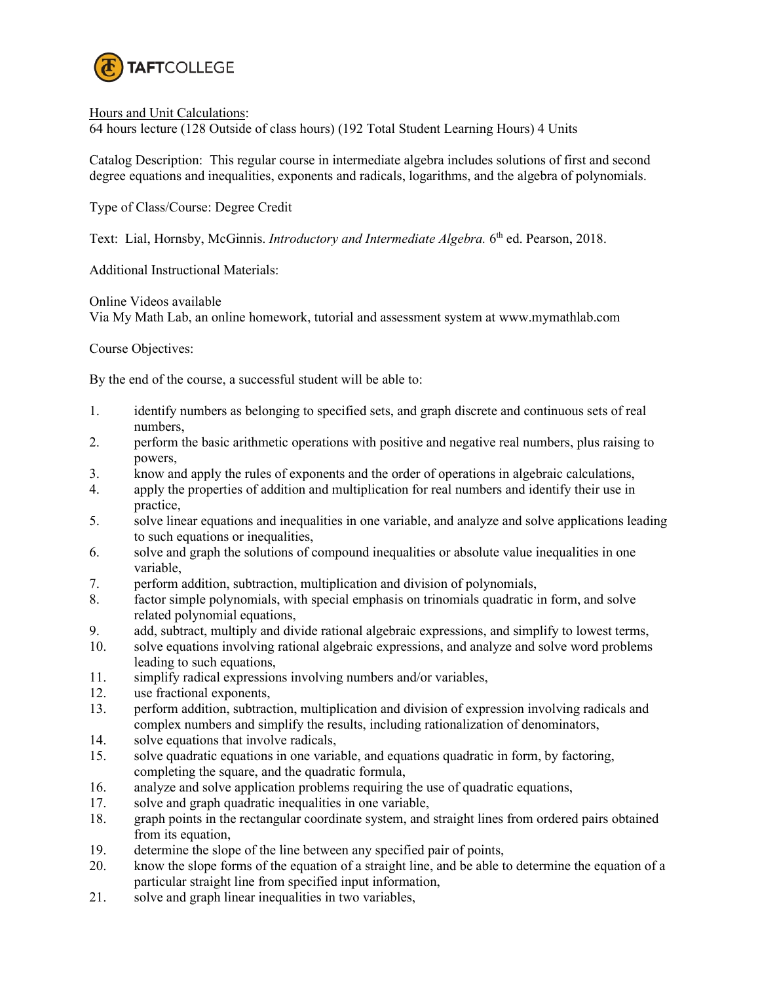

#### Hours and Unit Calculations:

64 hours lecture (128 Outside of class hours) (192 Total Student Learning Hours) 4 Units

Catalog Description: This regular course in intermediate algebra includes solutions of first and second degree equations and inequalities, exponents and radicals, logarithms, and the algebra of polynomials.

Type of Class/Course: Degree Credit

Text: Lial, Hornsby, McGinnis. *Introductory and Intermediate Algebra.* 6th ed. Pearson, 2018.

Additional Instructional Materials:

Online Videos available

Via My Math Lab, an online homework, tutorial and assessment system at www.mymathlab.com

Course Objectives:

By the end of the course, a successful student will be able to:

- 1. identify numbers as belonging to specified sets, and graph discrete and continuous sets of real numbers,
- 2. perform the basic arithmetic operations with positive and negative real numbers, plus raising to powers,
- 3. know and apply the rules of exponents and the order of operations in algebraic calculations,
- 4. apply the properties of addition and multiplication for real numbers and identify their use in practice,
- 5. solve linear equations and inequalities in one variable, and analyze and solve applications leading to such equations or inequalities,
- 6. solve and graph the solutions of compound inequalities or absolute value inequalities in one variable,
- 7. perform addition, subtraction, multiplication and division of polynomials,
- 8. factor simple polynomials, with special emphasis on trinomials quadratic in form, and solve related polynomial equations,
- 9. add, subtract, multiply and divide rational algebraic expressions, and simplify to lowest terms,
- 10. solve equations involving rational algebraic expressions, and analyze and solve word problems leading to such equations,
- 11. simplify radical expressions involving numbers and/or variables,
- 12. use fractional exponents,
- 13. perform addition, subtraction, multiplication and division of expression involving radicals and complex numbers and simplify the results, including rationalization of denominators,
- 14. solve equations that involve radicals,
- 15. solve quadratic equations in one variable, and equations quadratic in form, by factoring, completing the square, and the quadratic formula,
- 16. analyze and solve application problems requiring the use of quadratic equations,
- 17. solve and graph quadratic inequalities in one variable,
- 18. graph points in the rectangular coordinate system, and straight lines from ordered pairs obtained from its equation,
- 19. determine the slope of the line between any specified pair of points,
- 20. know the slope forms of the equation of a straight line, and be able to determine the equation of a particular straight line from specified input information,
- 21. solve and graph linear inequalities in two variables,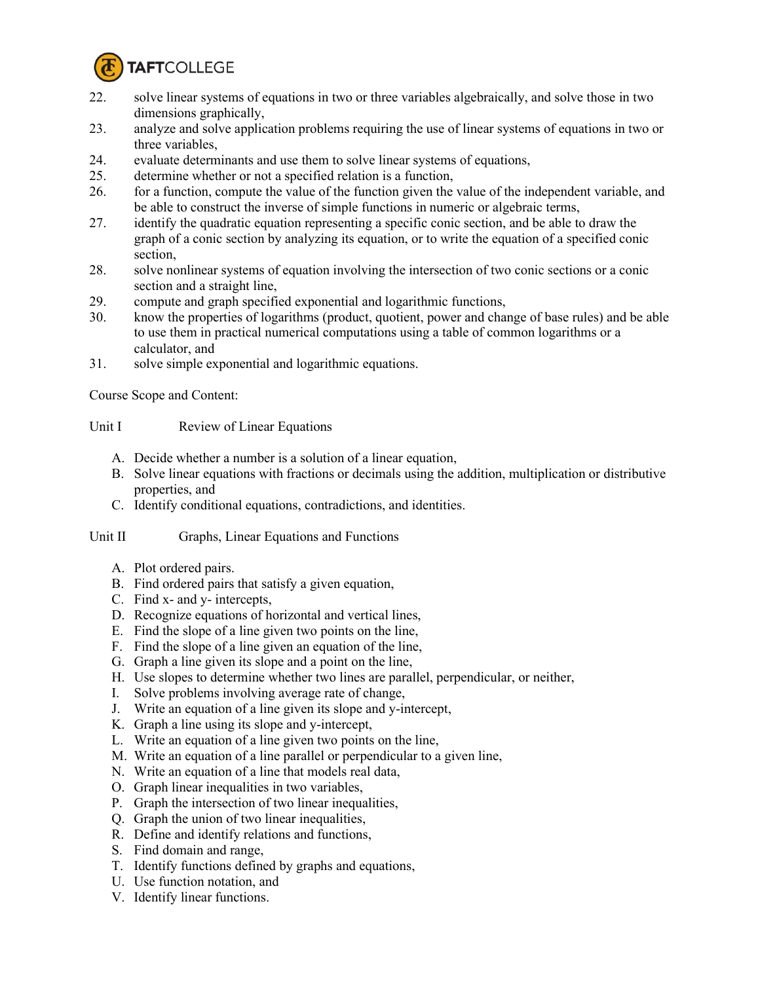

- 22. solve linear systems of equations in two or three variables algebraically, and solve those in two dimensions graphically,
- 23. analyze and solve application problems requiring the use of linear systems of equations in two or three variables,
- 24. evaluate determinants and use them to solve linear systems of equations,
- 25. determine whether or not a specified relation is a function,
- 26. for a function, compute the value of the function given the value of the independent variable, and be able to construct the inverse of simple functions in numeric or algebraic terms,
- 27. identify the quadratic equation representing a specific conic section, and be able to draw the graph of a conic section by analyzing its equation, or to write the equation of a specified conic section,
- 28. solve nonlinear systems of equation involving the intersection of two conic sections or a conic section and a straight line,
- 29. compute and graph specified exponential and logarithmic functions,
- 30. know the properties of logarithms (product, quotient, power and change of base rules) and be able to use them in practical numerical computations using a table of common logarithms or a calculator, and
- 31. solve simple exponential and logarithmic equations.

Course Scope and Content:

## Unit I Review of Linear Equations

- A. Decide whether a number is a solution of a linear equation,
- B. Solve linear equations with fractions or decimals using the addition, multiplication or distributive properties, and
- C. Identify conditional equations, contradictions, and identities.

## Unit II Graphs, Linear Equations and Functions

- A. Plot ordered pairs.
- B. Find ordered pairs that satisfy a given equation,
- C. Find x- and y- intercepts,
- D. Recognize equations of horizontal and vertical lines,
- E. Find the slope of a line given two points on the line,
- F. Find the slope of a line given an equation of the line,
- G. Graph a line given its slope and a point on the line,
- H. Use slopes to determine whether two lines are parallel, perpendicular, or neither,
- I. Solve problems involving average rate of change,
- J. Write an equation of a line given its slope and y-intercept,
- K. Graph a line using its slope and y-intercept,
- L. Write an equation of a line given two points on the line,
- M. Write an equation of a line parallel or perpendicular to a given line,
- N. Write an equation of a line that models real data,
- O. Graph linear inequalities in two variables,
- P. Graph the intersection of two linear inequalities,
- Q. Graph the union of two linear inequalities,
- R. Define and identify relations and functions,
- S. Find domain and range,
- T. Identify functions defined by graphs and equations,
- U. Use function notation, and
- V. Identify linear functions.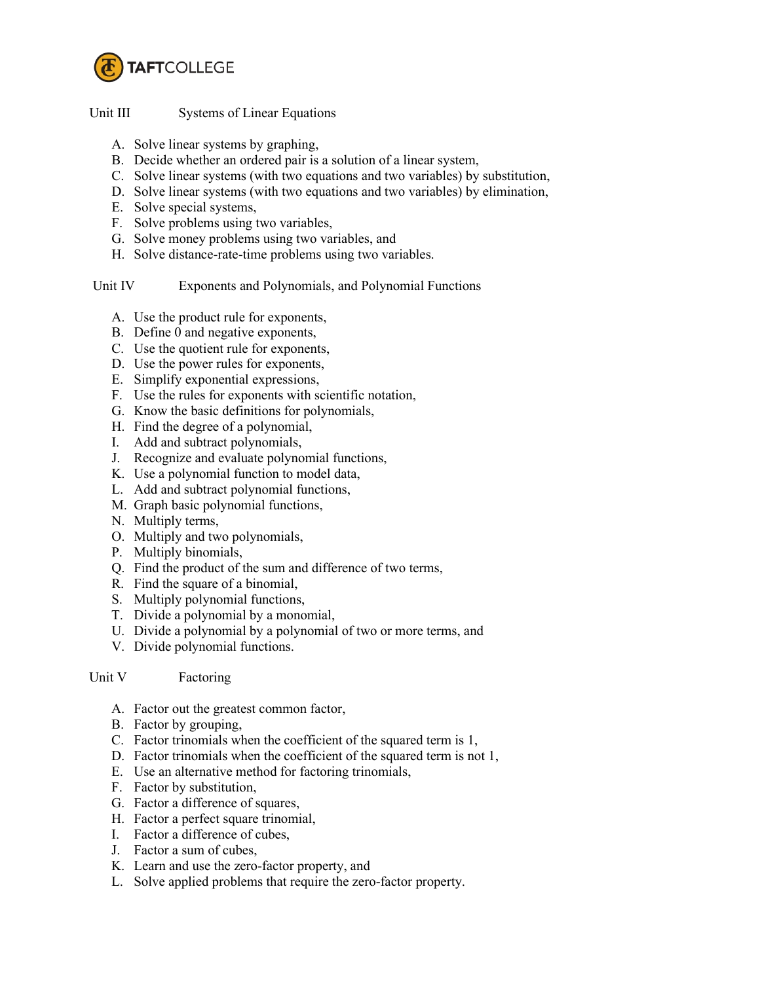

## Unit III Systems of Linear Equations

- A. Solve linear systems by graphing,
- B. Decide whether an ordered pair is a solution of a linear system,
- C. Solve linear systems (with two equations and two variables) by substitution,
- D. Solve linear systems (with two equations and two variables) by elimination,
- E. Solve special systems,
- F. Solve problems using two variables,
- G. Solve money problems using two variables, and
- H. Solve distance-rate-time problems using two variables.

## Unit IV Exponents and Polynomials, and Polynomial Functions

- A. Use the product rule for exponents,
- B. Define 0 and negative exponents,
- C. Use the quotient rule for exponents,
- D. Use the power rules for exponents,
- E. Simplify exponential expressions,
- F. Use the rules for exponents with scientific notation,
- G. Know the basic definitions for polynomials,
- H. Find the degree of a polynomial,
- I. Add and subtract polynomials,
- J. Recognize and evaluate polynomial functions,
- K. Use a polynomial function to model data,
- L. Add and subtract polynomial functions,
- M. Graph basic polynomial functions,
- N. Multiply terms,
- O. Multiply and two polynomials,
- P. Multiply binomials,
- Q. Find the product of the sum and difference of two terms,
- R. Find the square of a binomial,
- S. Multiply polynomial functions,
- T. Divide a polynomial by a monomial,
- U. Divide a polynomial by a polynomial of two or more terms, and
- V. Divide polynomial functions.

## Unit V Factoring

- A. Factor out the greatest common factor,
- B. Factor by grouping,
- C. Factor trinomials when the coefficient of the squared term is 1,
- D. Factor trinomials when the coefficient of the squared term is not 1,
- E. Use an alternative method for factoring trinomials,
- F. Factor by substitution,
- G. Factor a difference of squares,
- H. Factor a perfect square trinomial,
- I. Factor a difference of cubes,
- J. Factor a sum of cubes,
- K. Learn and use the zero-factor property, and
- L. Solve applied problems that require the zero-factor property.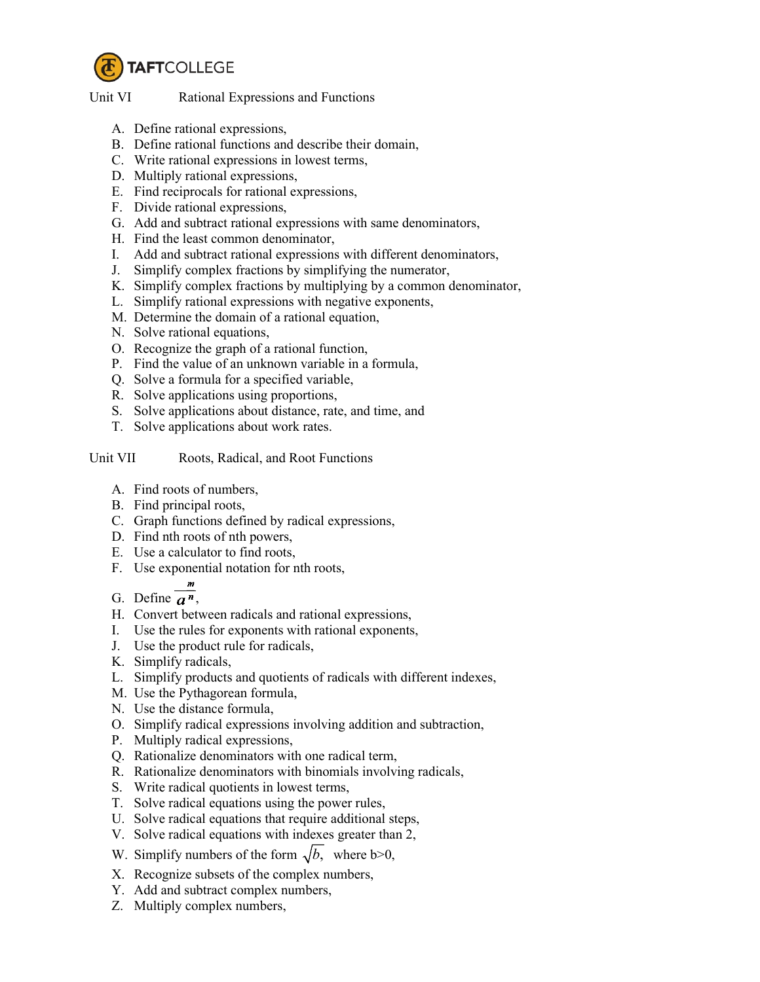

#### Unit VI Rational Expressions and Functions

- A. Define rational expressions,
- B. Define rational functions and describe their domain,
- C. Write rational expressions in lowest terms,
- D. Multiply rational expressions,
- E. Find reciprocals for rational expressions,
- F. Divide rational expressions,
- G. Add and subtract rational expressions with same denominators,
- H. Find the least common denominator,
- I. Add and subtract rational expressions with different denominators,
- J. Simplify complex fractions by simplifying the numerator,
- K. Simplify complex fractions by multiplying by a common denominator,
- L. Simplify rational expressions with negative exponents,
- M. Determine the domain of a rational equation,
- N. Solve rational equations,
- O. Recognize the graph of a rational function,
- P. Find the value of an unknown variable in a formula,
- Q. Solve a formula for a specified variable,
- R. Solve applications using proportions,
- S. Solve applications about distance, rate, and time, and
- T. Solve applications about work rates.

# Unit VII Roots, Radical, and Root Functions

- A. Find roots of numbers,
- B. Find principal roots,
- C. Graph functions defined by radical expressions,
- D. Find nth roots of nth powers,
- E. Use a calculator to find roots,
- F. Use exponential notation for nth roots,
- G. Define  $\overline{a^n}$ ,
- H. Convert between radicals and rational expressions,
- I. Use the rules for exponents with rational exponents,
- J. Use the product rule for radicals,
- K. Simplify radicals,
- L. Simplify products and quotients of radicals with different indexes,
- M. Use the Pythagorean formula,
- N. Use the distance formula,
- O. Simplify radical expressions involving addition and subtraction,
- P. Multiply radical expressions,
- Q. Rationalize denominators with one radical term,
- R. Rationalize denominators with binomials involving radicals,
- S. Write radical quotients in lowest terms,
- T. Solve radical equations using the power rules,
- U. Solve radical equations that require additional steps,
- V. Solve radical equations with indexes greater than 2,
- W. Simplify numbers of the form  $\sqrt{b}$ , where b>0,
- X. Recognize subsets of the complex numbers,
- Y. Add and subtract complex numbers,
- Z. Multiply complex numbers,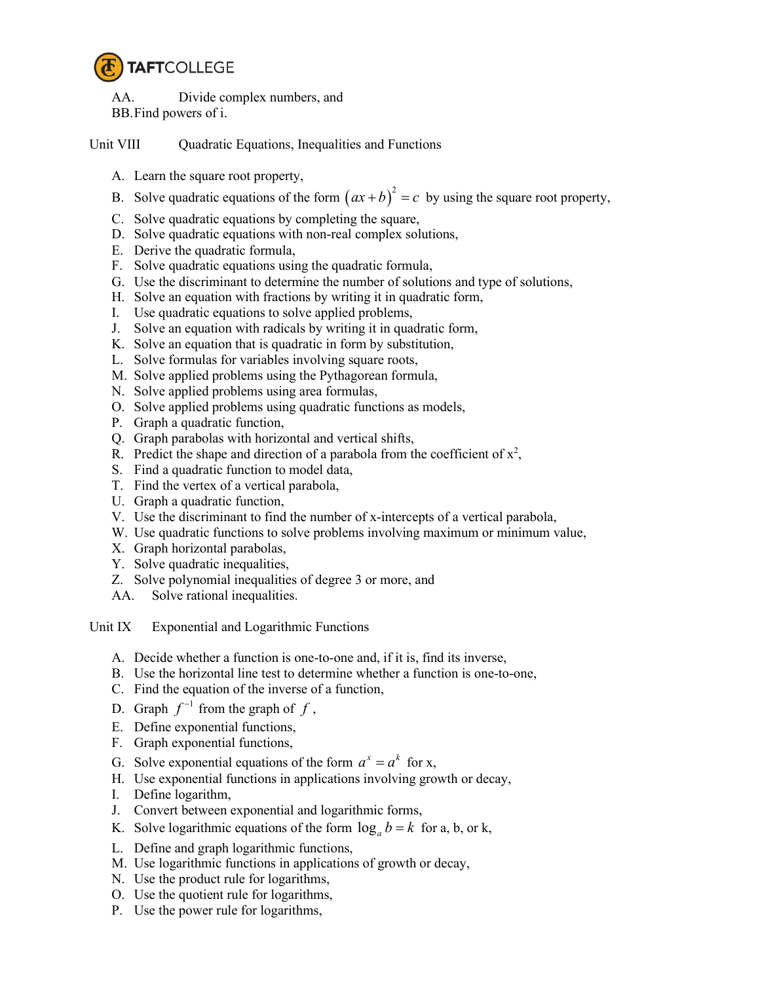

AA. Divide complex numbers, and BB.Find powers of i.

Unit VIII Ouadratic Equations, Inequalities and Functions

- A. Learn the square root property,
- B. Solve quadratic equations of the form  $(ax+b)^2 = c$  by using the square root property,
- C. Solve quadratic equations by completing the square,
- D. Solve quadratic equations with non-real complex solutions,
- E. Derive the quadratic formula,
- F. Solve quadratic equations using the quadratic formula,
- G. Use the discriminant to determine the number of solutions and type of solutions,
- H. Solve an equation with fractions by writing it in quadratic form,
- I. Use quadratic equations to solve applied problems,
- J. Solve an equation with radicals by writing it in quadratic form,
- K. Solve an equation that is quadratic in form by substitution,
- L. Solve formulas for variables involving square roots,
- M. Solve applied problems using the Pythagorean formula,
- N. Solve applied problems using area formulas,
- O. Solve applied problems using quadratic functions as models,
- P. Graph a quadratic function,
- Q. Graph parabolas with horizontal and vertical shifts,
- R. Predict the shape and direction of a parabola from the coefficient of  $x^2$ ,
- S. Find a quadratic function to model data,
- T. Find the vertex of a vertical parabola,
- U. Graph a quadratic function,
- V. Use the discriminant to find the number of x-intercepts of a vertical parabola,
- W. Use quadratic functions to solve problems involving maximum or minimum value,
- X. Graph horizontal parabolas,
- Y. Solve quadratic inequalities,
- Z. Solve polynomial inequalities of degree 3 or more, and
- AA. Solve rational inequalities.

Unit IX Exponential and Logarithmic Functions

- A. Decide whether a function is one-to-one and, if it is, find its inverse,
- B. Use the horizontal line test to determine whether a function is one-to-one,
- C. Find the equation of the inverse of a function,
- D. Graph  $f^{-1}$  from the graph of  $f$ ,
- E. Define exponential functions,
- F. Graph exponential functions,
- G. Solve exponential equations of the form  $a^x = a^k$  for x,
- H. Use exponential functions in applications involving growth or decay,
- I. Define logarithm,
- J. Convert between exponential and logarithmic forms,
- K. Solve logarithmic equations of the form  $\log_a b = k$  for a, b, or k,
- L. Define and graph logarithmic functions,
- M. Use logarithmic functions in applications of growth or decay,
- N. Use the product rule for logarithms,
- O. Use the quotient rule for logarithms,
- P. Use the power rule for logarithms,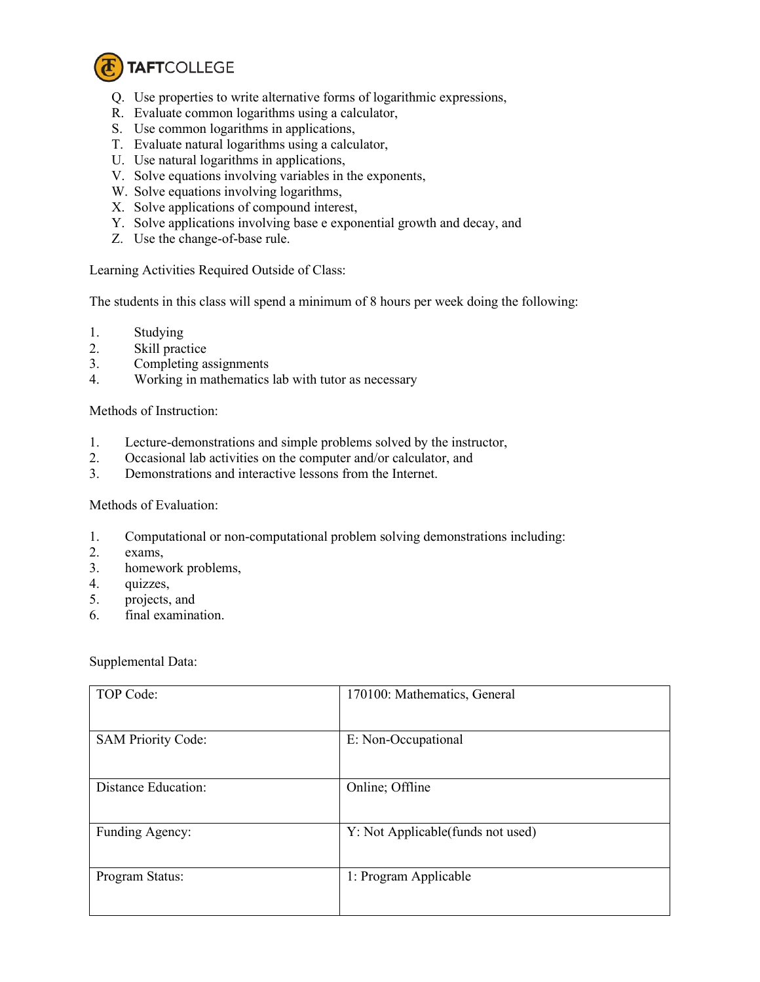

- Q. Use properties to write alternative forms of logarithmic expressions,
- R. Evaluate common logarithms using a calculator,
- S. Use common logarithms in applications,
- T. Evaluate natural logarithms using a calculator,
- U. Use natural logarithms in applications,
- V. Solve equations involving variables in the exponents,
- W. Solve equations involving logarithms,
- X. Solve applications of compound interest,
- Y. Solve applications involving base e exponential growth and decay, and
- Z. Use the change-of-base rule.

Learning Activities Required Outside of Class:

The students in this class will spend a minimum of 8 hours per week doing the following:

- 1. Studying
- 2. Skill practice
- 3. Completing assignments
- 4. Working in mathematics lab with tutor as necessary

Methods of Instruction:

- 1. Lecture-demonstrations and simple problems solved by the instructor,
- 2. Occasional lab activities on the computer and/or calculator, and
- 3. Demonstrations and interactive lessons from the Internet.

Methods of Evaluation:

- 1. Computational or non-computational problem solving demonstrations including:
- 2. exams,
- 3. homework problems,
- 4. quizzes,
- 5. projects, and
- 6. final examination.

Supplemental Data:

| TOP Code:                 | 170100: Mathematics, General       |
|---------------------------|------------------------------------|
| <b>SAM Priority Code:</b> | E: Non-Occupational                |
| Distance Education:       | Online; Offline                    |
| Funding Agency:           | Y: Not Applicable (funds not used) |
| Program Status:           | 1: Program Applicable              |